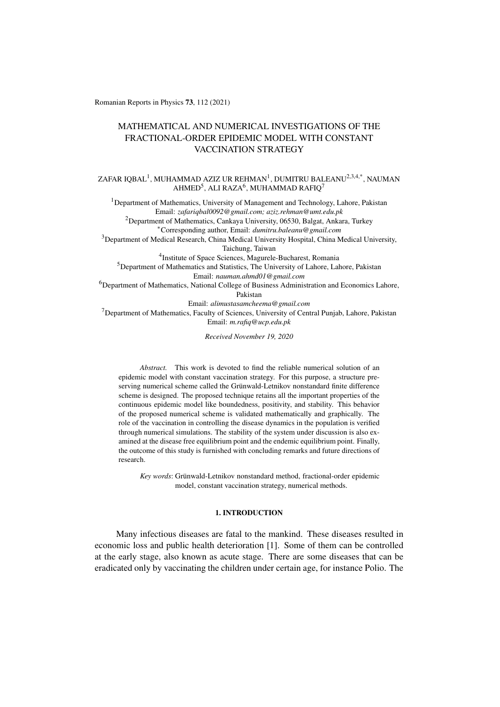Romanian Reports in Physics 73, 112 (2021)

# MATHEMATICAL AND NUMERICAL INVESTIGATIONS OF THE FRACTIONAL-ORDER EPIDEMIC MODEL WITH CONSTANT VACCINATION STRATEGY

ZAFAR IQBAL<sup>1</sup>, MUHAMMAD AZIZ UR REHMAN<sup>1</sup>, DUMITRU BALEANU<sup>2,3,4,\*</sup>, NAUMAN AHMED<sup>5</sup>, ALI RAZA<sup>6</sup>, MUHAMMAD RAFIQ<sup>7</sup>

<sup>1</sup>Department of Mathematics, University of Management and Technology, Lahore, Pakistan Email: *zafariqbal0092@gmail.com; aziz.rehman@umt.edu.pk* <sup>2</sup>Department of Mathematics, Cankaya University, 06530, Balgat, Ankara, Turkey ⇤Corresponding author, Email: *dumitru.baleanu@gmail.com* <sup>3</sup>Department of Medical Research, China Medical University Hospital, China Medical University, Taichung, Taiwan 4Institute of Space Sciences, Magurele-Bucharest, Romania <sup>5</sup>Department of Mathematics and Statistics, The University of Lahore, Lahore, Pakistan Email: *nauman.ahmd01@gmail.com* 6Department of Mathematics, National College of Business Administration and Economics Lahore, Pakistan Email: *alimustasamcheema@gmail.com*  $<sup>7</sup>$ Department of Mathematics, Faculty of Sciences, University of Central Punjab, Lahore, Pakistan</sup> Email: *m.rafiq@ucp.edu.pk*

*Received November 19, 2020*

*Abstract.* This work is devoted to find the reliable numerical solution of an epidemic model with constant vaccination strategy. For this purpose, a structure preserving numerical scheme called the Grünwald-Letnikov nonstandard finite difference scheme is designed. The proposed technique retains all the important properties of the continuous epidemic model like boundedness, positivity, and stability. This behavior of the proposed numerical scheme is validated mathematically and graphically. The role of the vaccination in controlling the disease dynamics in the population is verified through numerical simulations. The stability of the system under discussion is also examined at the disease free equilibrium point and the endemic equilibrium point. Finally, the outcome of this study is furnished with concluding remarks and future directions of research.

*Key words*: Grünwald-Letnikov nonstandard method, fractional-order epidemic model, constant vaccination strategy, numerical methods.

## 1. INTRODUCTION

Many infectious diseases are fatal to the mankind. These diseases resulted in economic loss and public health deterioration [1]. Some of them can be controlled at the early stage, also known as acute stage. There are some diseases that can be eradicated only by vaccinating the children under certain age, for instance Polio. The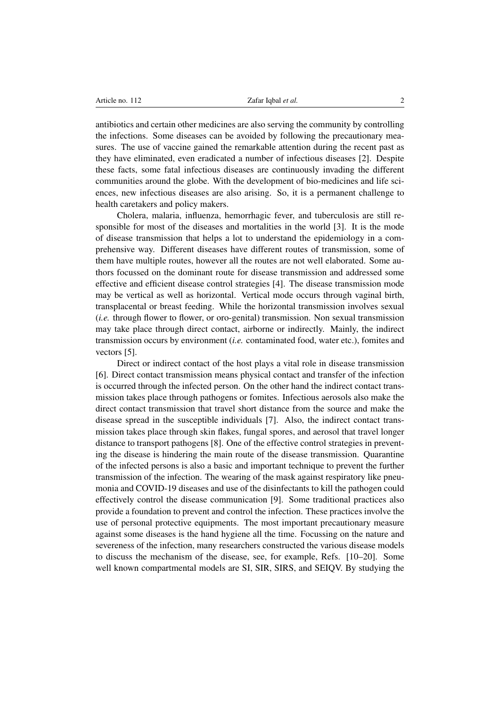antibiotics and certain other medicines are also serving the community by controlling the infections. Some diseases can be avoided by following the precautionary measures. The use of vaccine gained the remarkable attention during the recent past as they have eliminated, even eradicated a number of infectious diseases [2]. Despite these facts, some fatal infectious diseases are continuously invading the different communities around the globe. With the development of bio-medicines and life sciences, new infectious diseases are also arising. So, it is a permanent challenge to health caretakers and policy makers.

Cholera, malaria, influenza, hemorrhagic fever, and tuberculosis are still responsible for most of the diseases and mortalities in the world [3]. It is the mode of disease transmission that helps a lot to understand the epidemiology in a comprehensive way. Different diseases have different routes of transmission, some of them have multiple routes, however all the routes are not well elaborated. Some authors focussed on the dominant route for disease transmission and addressed some effective and efficient disease control strategies [4]. The disease transmission mode may be vertical as well as horizontal. Vertical mode occurs through vaginal birth, transplacental or breast feeding. While the horizontal transmission involves sexual (*i.e.* through flower to flower, or oro-genital) transmission. Non sexual transmission may take place through direct contact, airborne or indirectly. Mainly, the indirect transmission occurs by environment (*i.e.* contaminated food, water etc.), fomites and vectors [5].

Direct or indirect contact of the host plays a vital role in disease transmission [6]. Direct contact transmission means physical contact and transfer of the infection is occurred through the infected person. On the other hand the indirect contact transmission takes place through pathogens or fomites. Infectious aerosols also make the direct contact transmission that travel short distance from the source and make the disease spread in the susceptible individuals [7]. Also, the indirect contact transmission takes place through skin flakes, fungal spores, and aerosol that travel longer distance to transport pathogens [8]. One of the effective control strategies in preventing the disease is hindering the main route of the disease transmission. Quarantine of the infected persons is also a basic and important technique to prevent the further transmission of the infection. The wearing of the mask against respiratory like pneumonia and COVID-19 diseases and use of the disinfectants to kill the pathogen could effectively control the disease communication [9]. Some traditional practices also provide a foundation to prevent and control the infection. These practices involve the use of personal protective equipments. The most important precautionary measure against some diseases is the hand hygiene all the time. Focussing on the nature and severeness of the infection, many researchers constructed the various disease models to discuss the mechanism of the disease, see, for example, Refs. [10–20]. Some well known compartmental models are SI, SIR, SIRS, and SEIQV. By studying the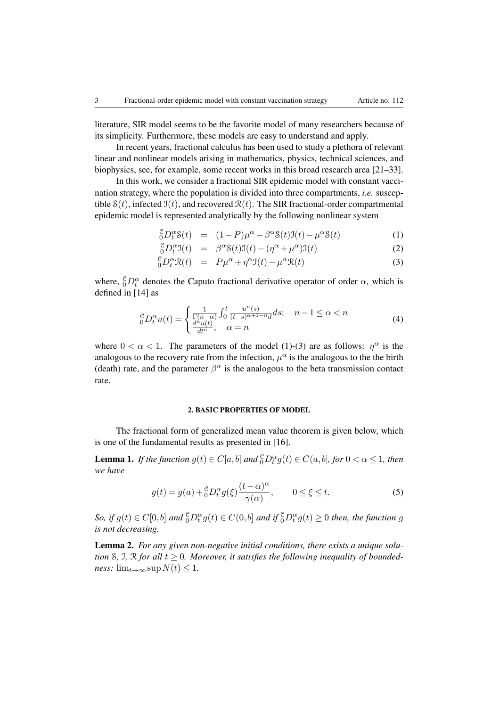literature, SIR model seems to be the favorite model of many researchers because of its simplicity. Furthermore, these models are easy to understand and apply.

In recent years, fractional calculus has been used to study a plethora of relevant linear and nonlinear models arising in mathematics, physics, technical sciences, and biophysics, see, for example, some recent works in this broad research area [21–33].

In this work, we consider a fractional SIR epidemic model with constant vaccination strategy, where the population is divided into three compartments, *i.e.* susceptible  $S(t)$ , infected  $J(t)$ , and recovered  $\mathcal{R}(t)$ . The SIR fractional-order compartmental epidemic model is represented analytically by the following nonlinear system

$$
{}_{0}^{\mathcal{C}}D_{t}^{\alpha}\mathcal{S}(t) = (1-P)\mu^{\alpha} - \beta^{\alpha}\mathcal{S}(t)\mathfrak{I}(t) - \mu^{\alpha}\mathcal{S}(t)
$$
 (1)

$$
{}_{0}^{\mathcal{C}}D_{t}^{\alpha}\mathfrak{I}(t) = \beta^{\alpha}\mathcal{S}(t)\mathfrak{I}(t) - (\eta^{\alpha} + \mu^{\alpha})\mathfrak{I}(t)
$$
\n(2)

$$
{}_{0}^{\mathcal{C}}D_{t}^{\alpha}\mathcal{R}(t) = P\mu^{\alpha} + \eta^{\alpha}\mathfrak{I}(t) - \mu^{\alpha}\mathcal{R}(t)
$$
\n(3)

where,  ${}^{\mathcal{C}}_0D_t^{\alpha}$  denotes the Caputo fractional derivative operator of order  $\alpha$ , which is defined in [14] as

$$
{}_{0}^{\mathcal{C}}D_{t}^{\alpha}u(t) = \begin{cases} \frac{1}{\Gamma(n-\alpha)} \int_{0}^{t} \frac{u^{n}(s)}{(t-s)^{\alpha+1-n}d} ds; & n-1 \leq \alpha < n\\ \frac{d^{n}u(t)}{dt^{n}}, & \alpha = n \end{cases}
$$
(4)

where  $0 < \alpha < 1$ . The parameters of the model (1)-(3) are as follows:  $\eta^{\alpha}$  is the analogous to the recovery rate from the infection,  $\mu^{\alpha}$  is the analogous to the the birth (death) rate, and the parameter  $\beta^{\alpha}$  is the analogous to the beta transmission contact rate.

#### 2. BASIC PROPERTIES OF MODEL

The fractional form of generalized mean value theorem is given below, which is one of the fundamental results as presented in [16].

**Lemma 1.** *If the function*  $g(t) \in C[a, b]$  *and*  ${}^{\mathcal{C}}_0 D_t^{\alpha} g(t) \in C(a, b]$ *, for*  $0 < \alpha \leq 1$ *, then we have*

$$
g(t) = g(a) + \frac{e}{b} D_t^{\alpha} g(\xi) \frac{(t - \alpha)^{\alpha}}{\gamma(\alpha)}, \qquad 0 \le \xi \le t.
$$
 (5)

So, if  $g(t) \in C[0,b]$  and  ${}^{\mathcal{C}}_0D_t^{\alpha}g(t) \in C(0,b]$  and if  ${}^{\mathcal{C}}_0D_t^{\alpha}g(t) \geq 0$  then, the function g *is not decreasing.*

Lemma 2. *For any given non-negative initial conditions, there exists a unique solution* S, J, R *for all*  $t \geq 0$ *. Moreover, it satisfies the following inequality of boundedness:*  $\lim_{t\to\infty} \sup N(t) \leq 1$ .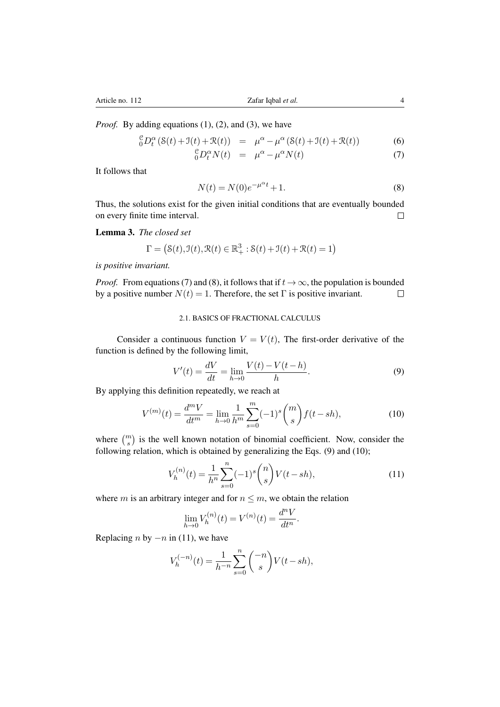*Proof.* By adding equations (1), (2), and (3), we have

$$
{}_{0}^{\mathcal{C}}D_{t}^{\alpha}\left(\mathcal{S}(t)+\mathcal{I}(t)+\mathcal{R}(t)\right) = \mu^{\alpha}-\mu^{\alpha}\left(\mathcal{S}(t)+\mathcal{I}(t)+\mathcal{R}(t)\right) \tag{6}
$$

$$
{}_{0}^{\mathcal{C}}D_{t}^{\alpha}N(t) = \mu^{\alpha} - \mu^{\alpha}N(t) \tag{7}
$$

It follows that

$$
N(t) = N(0)e^{-\mu^{\alpha}t} + 1.
$$
 (8)

Thus, the solutions exist for the given initial conditions that are eventually bounded on every finite time interval.  $\Box$ 

Lemma 3. *The closed set*

$$
\Gamma=\left(\mathcal{S}(t),\mathcal{I}(t),\mathcal{R}(t)\in\mathbb{R}^3_+\text{ : }\mathcal{S}(t)+\mathcal{I}(t)+\mathcal{R}(t)=1\right)
$$

*is positive invariant.*

*Proof.* From equations (7) and (8), it follows that if  $t \to \infty$ , the population is bounded by a positive number  $N(t) = 1$ . Therefore, the set  $\Gamma$  is positive invariant. by a positive number  $N(t) = 1$ . Therefore, the set  $\Gamma$  is positive invariant.

## 2.1. BASICS OF FRACTIONAL CALCULUS

Consider a continuous function  $V = V(t)$ , The first-order derivative of the function is defined by the following limit,

$$
V'(t) = \frac{dV}{dt} = \lim_{h \to 0} \frac{V(t) - V(t - h)}{h}.
$$
 (9)

By applying this definition repeatedly, we reach at

$$
V^{(m)}(t) = \frac{d^m V}{dt^m} = \lim_{h \to 0} \frac{1}{h^m} \sum_{s=0}^m (-1)^s \binom{m}{s} f(t - sh),\tag{10}
$$

where  $\binom{m}{s}$  is the well known notation of binomial coefficient. Now, consider the following relation, which is obtained by generalizing the Eqs. (9) and (10);

$$
V_h^{(n)}(t) = \frac{1}{h^n} \sum_{s=0}^n (-1)^s \binom{n}{s} V(t - sh),\tag{11}
$$

where *m* is an arbitrary integer and for  $n \leq m$ , we obtain the relation

$$
\lim_{h \to 0} V_h^{(n)}(t) = V^{(n)}(t) = \frac{d^n V}{dt^n}.
$$

Replacing *n* by  $-n$  in (11), we have

$$
V_h^{(-n)}(t) = \frac{1}{h^{-n}} \sum_{s=0}^n \binom{-n}{s} V(t - sh),
$$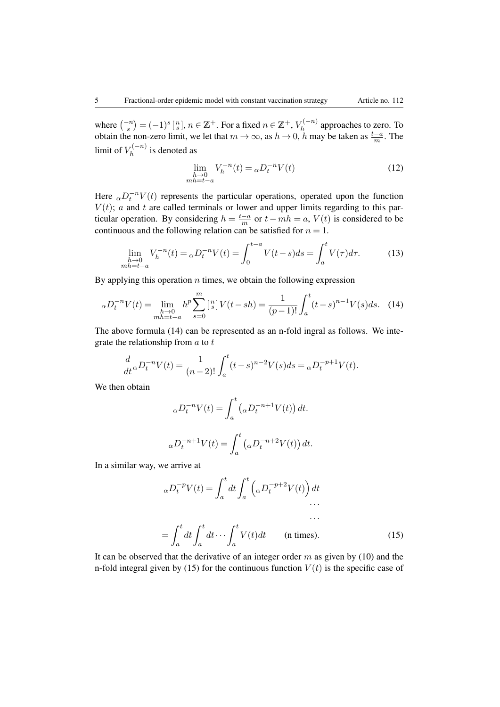where  $\binom{-n}{s} = (-1)^s \binom{n}{s}$ ,  $n \in \mathbb{Z}^+$ . For a fixed  $n \in \mathbb{Z}^+$ ,  $V_h^{(-n)}$  approaches to zero. To obtain the non-zero limit, we let that  $m \to \infty$ , as  $h \to 0$ , *h* may be taken as  $\frac{t-a}{m}$ . The limit of  $V_h^{(-n)}$  is denoted as

$$
\lim_{\substack{h \to 0 \\ mh = t - a}} V_h^{-n}(t) = {}_{\alpha}D_t^{-n}V(t)
$$
\n(12)

Here  $_{\alpha}D_t^{-n}V(t)$  represents the particular operations, operated upon the function  $V(t)$ ; *a* and *t* are called terminals or lower and upper limits regarding to this paritcular operation. By considering  $h = \frac{t-a}{m}$  or  $t - mh = a$ ,  $V(t)$  is considered to be continuous and the following relation can be satisfied for  $n = 1$ .

$$
\lim_{\substack{h \to 0 \\ mh = t - a}} V_h^{-n}(t) = {}_{\alpha}D_t^{-n}V(t) = \int_0^{t - a} V(t - s)ds = \int_a^t V(\tau)d\tau.
$$
 (13)

By applying this operation *n* times, we obtain the following expression

$$
{}_{\alpha}D_t^{-n}V(t) = \lim_{\substack{h \to 0 \\ mh = t - a}} h^p \sum_{s=0}^m \left[ {n \atop s} \right] V(t - sh) = \frac{1}{(p-1)!} \int_a^t (t - s)^{n-1} V(s) ds. \tag{14}
$$

The above formula (14) can be represented as an n-fold ingral as follows. We integrate the relationship from *a* to *t*

$$
\frac{d}{dt} \alpha D_t^{-n} V(t) = \frac{1}{(n-2)!} \int_a^t (t-s)^{n-2} V(s) ds = \alpha D_t^{-p+1} V(t).
$$

We then obtain

$$
\alpha D_t^{-n} V(t) = \int_a^t \left(\alpha D_t^{-n+1} V(t)\right) dt.
$$
  

$$
\alpha D_t^{-n+1} V(t) = \int_a^t \left(\alpha D_t^{-n+2} V(t)\right) dt.
$$

In a similar way, we arrive at

$$
\alpha D_t^{-p} V(t) = \int_a^t dt \int_a^t \left( \alpha D_t^{-p+2} V(t) \right) dt
$$
  
...  

$$
= \int_a^t dt \int_a^t dt \cdots \int_a^t V(t) dt \qquad \text{(n times)}.
$$
 (15)

It can be observed that the derivative of an integer order *m* as given by (10) and the n-fold integral given by (15) for the continuous function  $V(t)$  is the specific case of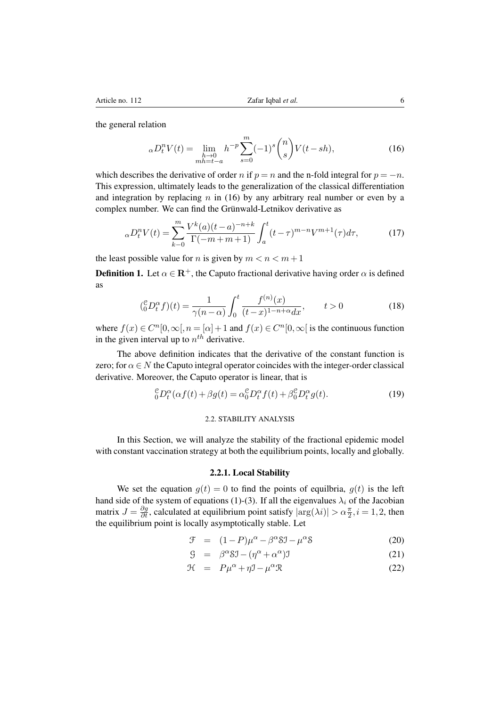the general relation

$$
{}_{\alpha}D_{t}^{n}V(t) = \lim_{\substack{h \to 0 \\ mh = t - a}} h^{-p} \sum_{s=0}^{m} (-1)^{s} {n \choose s} V(t - sh), \tag{16}
$$

which describes the derivative of order *n* if  $p = n$  and the n-fold integral for  $p = -n$ . This expression, ultimately leads to the generalization of the classical differentiation and integration by replacing *n* in (16) by any arbitrary real number or even by a complex number. We can find the Grünwald-Letnikov derivative as

$$
{}_{\alpha}D_t^n V(t) = \sum_{k=0}^m \frac{V^k(a)(t-a)^{-n+k}}{\Gamma(-m+m+1)} \int_a^t (t-\tau)^{m-n} V^{m+1}(\tau) d\tau,
$$
 (17)

the least possible value for *n* is given by  $m < n < m+1$ 

**Definition 1.** Let  $\alpha \in \mathbb{R}^+$ , the Caputo fractional derivative having order  $\alpha$  is defined as

$$
\left(\substack{c\\0}D_t^{\alpha}f\right)(t) = \frac{1}{\gamma(n-\alpha)} \int_0^t \frac{f^{(n)}(x)}{(t-x)^{1-n+\alpha}dx}, \qquad t > 0 \tag{18}
$$

where  $f(x) \in C^n[0,\infty], n = [\alpha] + 1$  and  $f(x) \in C^n[0,\infty]$  is the continuous function in the given interval up to  $n^{th}$  derivative.

The above definition indicates that the derivative of the constant function is zero; for  $\alpha \in N$  the Caputo integral operator coincides with the integer-order classical derivative. Moreover, the Caputo operator is linear, that is

$$
{}_{0}^{\mathcal{C}}D_{t}^{\alpha}(\alpha f(t) + \beta g(t)) = \alpha_{0}^{\mathcal{C}}D_{t}^{\alpha}f(t) + \beta_{0}^{\mathcal{C}}D_{t}^{\alpha}g(t). \tag{19}
$$

## 2.2. STABILITY ANALYSIS

In this Section, we will analyze the stability of the fractional epidemic model with constant vaccination strategy at both the equilibrium points, locally and globally.

## 2.2.1. Local Stability

We set the equation  $g(t)=0$  to find the points of equilbria,  $g(t)$  is the left hand side of the system of equations (1)-(3). If all the eigenvalues  $\lambda_i$  of the Jacobian matrix  $J = \frac{\partial g}{\partial t}$ , calculated at equilibrium point satisfy  $|\arg(\lambda i)| > \alpha \frac{\pi}{2}$ ,  $i = 1, 2$ , then the equilibrium point is locally asymptotically stable. Let

$$
\mathcal{F} = (1 - P)\mu^{\alpha} - \beta^{\alpha}\mathcal{S}\mathcal{I} - \mu^{\alpha}\mathcal{S}
$$
 (20)

$$
\mathcal{G} = \beta^{\alpha} \mathcal{S} \mathcal{I} - (\eta^{\alpha} + \alpha^{\alpha}) \mathcal{I}
$$
 (21)

$$
\mathcal{H} = P\mu^{\alpha} + \eta \mathcal{I} - \mu^{\alpha} \mathcal{R}
$$
 (22)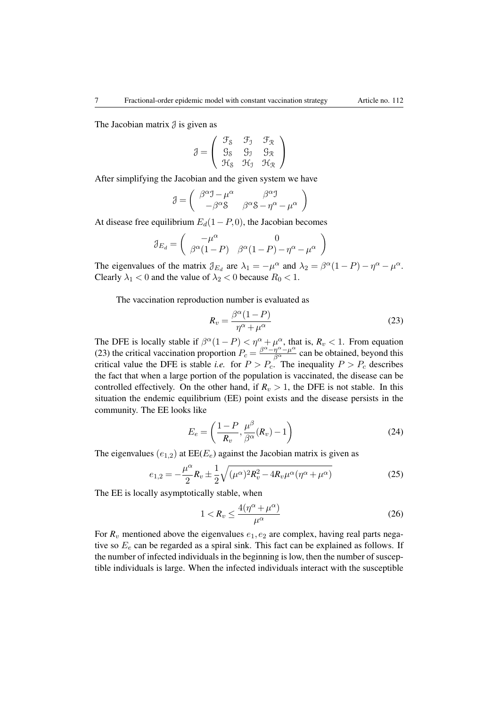The Jacobian matrix  $\beta$  is given as

$$
\mathcal{J}=\left(\begin{array}{ccc}\mathcal{F}_\mathcal{S} & \mathcal{F}_\mathcal{I} & \mathcal{F}_\mathcal{R} \\ \mathcal{G}_\mathcal{S} & \mathcal{G}_\mathcal{I} & \mathcal{G}_\mathcal{R} \\ \mathcal{H}_\mathcal{S} & \mathcal{H}_\mathcal{I} & \mathcal{H}_\mathcal{R}\end{array}\right)
$$

After simplifying the Jacobian and the given system we have

$$
\mathcal{J}=\left(\begin{array}{cc}\beta^{\alpha}\mathcal{I}-\mu^{\alpha} & \beta^{\alpha}\mathcal{I} \\ -\beta^{\alpha}\mathcal{S} & \beta^{\alpha}\mathcal{S}-\eta^{\alpha}-\mu^{\alpha}\end{array}\right)
$$

At disease free equilibrium  $E_d(1 - P, 0)$ , the Jacobian becomes

$$
\mathcal{J}_{E_d} = \begin{pmatrix} -\mu^{\alpha} & 0\\ \beta^{\alpha}(1-P) & \beta^{\alpha}(1-P) - \eta^{\alpha} - \mu^{\alpha} \end{pmatrix}
$$

The eigenvalues of the matrix  $\mathcal{J}_{E_d}$  are  $\lambda_1 = -\mu^\alpha$  and  $\lambda_2 = \beta^\alpha (1 - P) - \eta^\alpha - \mu^\alpha$ . Clearly  $\lambda_1 < 0$  and the value of  $\lambda_2 < 0$  because  $R_0 < 1$ .

The vaccination reproduction number is evaluated as

$$
R_v = \frac{\beta^{\alpha} (1 - P)}{\eta^{\alpha} + \mu^{\alpha}}
$$
\n(23)

The DFE is locally stable if  $\beta^{\alpha}(1 - P) < \eta^{\alpha} + \mu^{\alpha}$ , that is,  $R_v < 1$ . From equation (23) the critical vaccination proportion  $P_c = \frac{\beta^{\alpha} - \eta^{\alpha} - \mu^{\alpha}}{\beta^{\alpha}}$  can be obtained, beyond this critical value the DFE is stable *i.e.* for  $P > P_c$ . The inequality  $P > P_c$  describes the fact that when a large portion of the population is vaccinated, the disease can be controlled effectively. On the other hand, if  $R_v > 1$ , the DFE is not stable. In this situation the endemic equilibrium (EE) point exists and the disease persists in the community. The EE looks like

$$
E_e = \left(\frac{1-P}{R_v}, \frac{\mu^{\beta}}{\beta^{\alpha}}(R_v) - 1\right)
$$
 (24)

The eigenvalues  $(e_{1,2})$  at  $EE(E_e)$  against the Jacobian matrix is given as

$$
e_{1,2} = -\frac{\mu^{\alpha}}{2} R_v \pm \frac{1}{2} \sqrt{(\mu^{\alpha})^2 R_v^2 - 4R_v \mu^{\alpha} (\eta^{\alpha} + \mu^{\alpha})}
$$
(25)

The EE is locally asymptotically stable, when

$$
1 < R_v \le \frac{4(\eta^\alpha + \mu^\alpha)}{\mu^\alpha} \tag{26}
$$

For  $R_v$  mentioned above the eigenvalues  $e_1, e_2$  are complex, having real parts negative so *E<sup>e</sup>* can be regarded as a spiral sink. This fact can be explained as follows. If the number of infected individuals in the beginning is low, then the number of susceptible individuals is large. When the infected individuals interact with the susceptible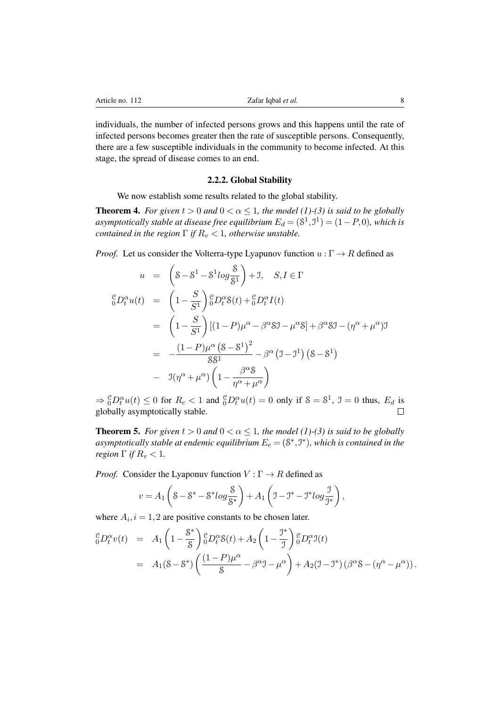individuals, the number of infected persons grows and this happens until the rate of infected persons becomes greater then the rate of susceptible persons. Consequently, there are a few susceptible individuals in the community to become infected. At this stage, the spread of disease comes to an end.

### 2.2.2. Global Stability

We now establish some results related to the global stability.

**Theorem 4.** *For given*  $t > 0$  *and*  $0 < \alpha \leq 1$ *, the model* (1)-(3) *is said to be globally asymptotically stable at disease free equilibrium*  $E_d = (8^1, 1^1) = (1 - P, 0)$ *, which is contained in the region*  $\Gamma$  *if*  $R_v < 1$ *, otherwise unstable.* 

*Proof.* Let us consider the Volterra-type Lyapunov function  $u : \Gamma \to R$  defined as

 $\sim$   $\sim$ 

$$
u = \left(8 - 8^1 - 8^1 \log \frac{8}{8^1}\right) + 1, \quad S, I \in \Gamma
$$
  
\n
$$
{}_{0}^{c}D_{t}^{\alpha}u(t) = \left(1 - \frac{S}{S^1}\right){}_{0}^{c}D_{t}^{\alpha}S(t) + {}_{0}^{c}D_{t}^{\alpha}I(t)
$$
  
\n
$$
= \left(1 - \frac{S}{S^1}\right)[(1 - P)\mu^{\alpha} - \beta^{\alpha}S\mathbf{J} - \mu^{\alpha}S] + \beta^{\alpha}S\mathbf{J} - (\eta^{\alpha} + \mu^{\alpha})\mathbf{J}
$$
  
\n
$$
= -\frac{(1 - P)\mu^{\alpha}(S - S^1)^2}{SS^1} - \beta^{\alpha}(J - J^1)(S - S^1)
$$
  
\n
$$
- J(\eta^{\alpha} + \mu^{\alpha})\left(1 - \frac{\beta^{\alpha}S}{\eta^{\alpha} + \mu^{\alpha}}\right)
$$

 $\Rightarrow \frac{\mathcal{C}}{0}D_t^{\alpha}u(t) \leq 0$  for  $R_c < 1$  and  $\frac{\mathcal{C}}{0}D_t^{\alpha}u(t) = 0$  only if  $\mathcal{S} = \mathcal{S}^1$ ,  $\mathcal{I} = 0$  thus,  $E_d$  is globally asymptotically stable.

**Theorem 5.** *For given*  $t > 0$  *and*  $0 < \alpha \leq 1$ *, the model* (1)-(3) *is said to be globally asymptotically stable at endemic equilibrium*  $E_e = (8^*, 5^*)$ *, which is contained in the region*  $\Gamma$  *if*  $R_v < 1$ *.* 

*Proof.* Consider the Lyaponuv function  $V : \Gamma \to R$  defined as

$$
v = A_1 \left( 8 - S^* - S^* \log \frac{S}{S^*} \right) + A_1 \left( 7 - T^* - T^* \log \frac{J}{J^*} \right),
$$

where  $A_i$ ,  $i = 1, 2$  are positive constants to be chosen later.

$$
\begin{split} \,{}^{\mathcal{C}}_{0}D_{t}^{\alpha}v(t) &= A_{1}\left(1-\frac{8^{*}}{8}\right){}^{\mathcal{C}}_{0}D_{t}^{\alpha}\mathcal{S}(t) + A_{2}\left(1-\frac{\mathcal{I}^{*}}{\mathcal{I}}\right){}^{\mathcal{C}}_{0}D_{t}^{\alpha}\mathcal{I}(t) \\ &= A_{1}(8-8^{*})\left(\frac{(1-P)\mu^{\alpha}}{8} - \beta^{\alpha}\mathcal{I} - \mu^{\alpha}\right) + A_{2}(\mathcal{I} - \mathcal{I}^{*})\left(\beta^{\alpha}\mathcal{S} - (\eta^{\alpha} - \mu^{\alpha})\right). \end{split}
$$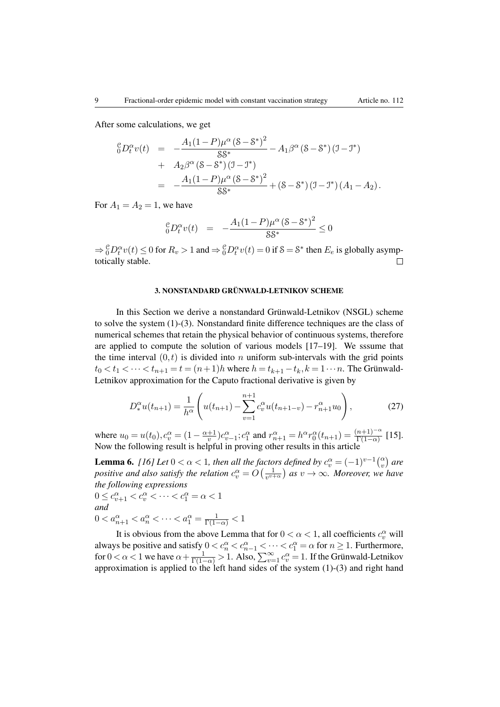After some calculations, we get

$$
\begin{array}{rcl}\n\binom{6}{0}D_t^{\alpha}v(t) & = & -\frac{A_1(1-P)\mu^{\alpha}(8-8^*)^2}{88^*} - A_1\beta^{\alpha}(8-8^*)(\mathbf{J}-\mathbf{J}^*) \\
& & + & A_2\beta^{\alpha}(8-8^*)(\mathbf{J}-\mathbf{J}^*) \\
& = & -\frac{A_1(1-P)\mu^{\alpha}(8-8^*)^2}{88^*} + (8-8^*)(\mathbf{J}-\mathbf{J}^*)(A_1-A_2).\n\end{array}
$$

For  $A_1 = A_2 = 1$ , we have

$$
{}^{c}_{0}D_{t}^{\alpha}v(t) = -\frac{A_{1}(1-P)\mu^{\alpha}(S-S^{*})^{2}}{SS^{*}} \leq 0
$$

 $\Rightarrow$   ${}^{\mathcal{C}}_0 D_t^{\alpha} v(t) \le 0$  for  $R_v > 1$  and  $\Rightarrow$   ${}^{\mathcal{C}}_0 D_t^{\alpha} v(t) = 0$  if  $S = S^*$  then  $E_e$  is globally asymptotically stable.

#### 3. NONSTANDARD GRÜNWALD-LETNIKOV SCHEME

In this Section we derive a nonstandard Grünwald-Letnikov (NSGL) scheme to solve the system (1)-(3). Nonstandard finite difference techniques are the class of numerical schemes that retain the physical behavior of continuous systems, therefore are applied to compute the solution of various models [17–19]. We sssume that the time interval  $(0,t)$  is divided into *n* uniform sub-intervals with the grid points  $t_0 < t_1 < \cdots < t_{n+1} = t = (n+1)h$  where  $h = t_{k+1} - t_k, k = 1 \cdots n$ . The Grünwald-Letnikov approximation for the Caputo fractional derivative is given by

$$
D_*^{\alpha}u(t_{n+1}) = \frac{1}{h^{\alpha}} \left( u(t_{n+1}) - \sum_{v=1}^{n+1} c_v^{\alpha} u(t_{n+1-v}) - r_{n+1}^{\alpha} u_0 \right),
$$
 (27)

where  $u_0 = u(t_0)$ ,  $c_v^{\alpha} = (1 - \frac{\alpha + 1}{v})c_{v-1}^{\alpha}$ ;  $c_1^{\alpha}$  and  $r_{n+1}^{\alpha} = h^{\alpha}r_0^{\alpha}(t_{n+1}) = \frac{(n+1)^{-\alpha}}{\Gamma(1-\alpha)}$  [15].<br>Now the following result is helpful in proving other results in this article

**Lemma 6.** [16] Let  $0 < \alpha < 1$ , then all the factors defined by  $c_v^{\alpha} = (-1)^{v-1} {v \choose v}$  are *positive and also satisfy the relation*  $c_v^{\alpha} = O\left(\frac{1}{v^{v+\alpha}}\right)$  *as*  $v \to \infty$ *. Moreover, we have the following expressions*

$$
0 \le c_{v+1}^{\alpha} < c_v^{\alpha} < \cdots < c_1^{\alpha} = \alpha < 1
$$
  
and  

$$
0 < a_{n+1}^{\alpha} < a_n^{\alpha} < \cdots < a_1^{\alpha} = \frac{1}{\Gamma(1-\alpha)} < 1
$$

It is obvious from the above Lemma that for  $0 < \alpha < 1$ , all coefficients  $c_v^{\alpha}$  will always be positive and satisfy  $0 < c_n^{\alpha} < c_{n-1}^{\alpha} < \cdots < c_1^{\alpha} = \alpha$  for  $n \ge 1$ . Furthermore, for  $0 < \alpha < 1$  we have  $\alpha + \frac{1}{\Gamma(1-\alpha)} > 1$ . Also,  $\sum_{v=1}^{\infty} c_v^{\alpha} = 1$ . If the Grünwald-Letnikov approximation is applied to the left hand sides of the system (1)-(3) and right hand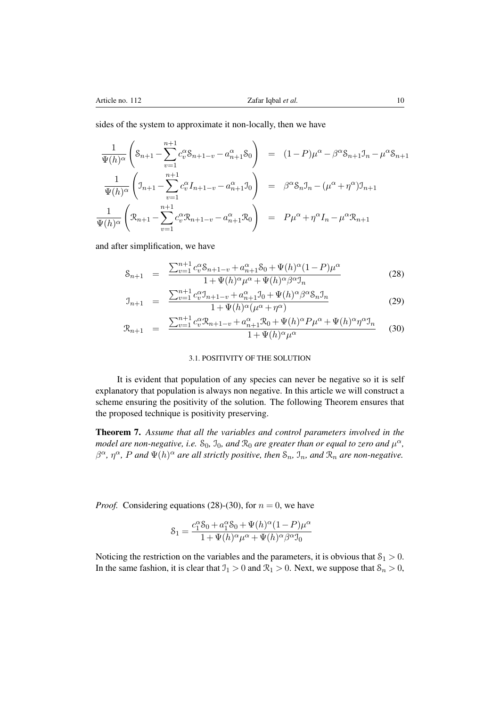sides of the system to approximate it non-locally, then we have

$$
\frac{1}{\Psi(h)^{\alpha}} \left( \mathbf{S}_{n+1} - \sum_{v=1}^{n+1} c_v^{\alpha} \mathbf{S}_{n+1-v} - a_{n+1}^{\alpha} \mathbf{S}_0 \right) = (1-P)\mu^{\alpha} - \beta^{\alpha} \mathbf{S}_{n+1} \mathbf{J}_n - \mu^{\alpha} \mathbf{S}_{n+1}
$$
\n
$$
\frac{1}{\Psi(h)^{\alpha}} \left( \mathbf{J}_{n+1} - \sum_{v=1}^{n+1} c_v^{\alpha} \mathbf{I}_{n+1-v} - a_{n+1}^{\alpha} \mathbf{J}_0 \right) = \beta^{\alpha} \mathbf{S}_n \mathbf{J}_n - (\mu^{\alpha} + \eta^{\alpha}) \mathbf{J}_{n+1}
$$
\n
$$
\frac{1}{\Psi(h)^{\alpha}} \left( \mathbf{R}_{n+1} - \sum_{v=1}^{n+1} c_v^{\alpha} \mathbf{R}_{n+1-v} - a_{n+1}^{\alpha} \mathbf{R}_0 \right) = P\mu^{\alpha} + \eta^{\alpha} \mathbf{I}_n - \mu^{\alpha} \mathbf{R}_{n+1}
$$

and after simplification, we have

$$
S_{n+1} = \frac{\sum_{v=1}^{n+1} c_v^{\alpha} S_{n+1-v} + a_{n+1}^{\alpha} S_0 + \Psi(h)^{\alpha} (1 - P) \mu^{\alpha}}{1 + \Psi(h)^{\alpha} \mu^{\alpha} + \Psi(h)^{\alpha} \beta^{\alpha} \mathcal{I}_n}
$$
(28)

$$
\mathcal{I}_{n+1} = \frac{\sum_{v=1}^{n+1} c_v^{\alpha} \mathcal{I}_{n+1-v} + a_{n+1}^{\alpha} \mathcal{I}_0 + \Psi(h)^{\alpha} \beta^{\alpha} \mathcal{S}_n \mathcal{I}_n}{1 + \Psi(h)^{\alpha} (\mu^{\alpha} + \eta^{\alpha})}
$$
(29)

$$
\mathcal{R}_{n+1} = \frac{\sum_{v=1}^{n+1} c_v^{\alpha} \mathcal{R}_{n+1-v} + a_{n+1}^{\alpha} \mathcal{R}_0 + \Psi(h)^{\alpha} P \mu^{\alpha} + \Psi(h)^{\alpha} \eta^{\alpha} \mathcal{I}_n}{1 + \Psi(h)^{\alpha} \mu^{\alpha}} \tag{30}
$$

#### 3.1. POSITIVITY OF THE SOLUTION

It is evident that population of any species can never be negative so it is self explanatory that population is always non negative. In this article we will construct a scheme ensuring the positivity of the solution. The following Theorem ensures that the proposed technique is positivity preserving.

Theorem 7. *Assume that all the variables and control parameters involved in the model are non-negative, i.e.*  $S_0$ ,  $J_0$ *, and*  $\mathcal{R}_0$  *are greater than or equal to zero and*  $\mu^{\alpha}$ *,*  $\beta^{\alpha}$ ,  $\eta^{\alpha}$ , P and  $\Psi(h)^{\alpha}$  are all strictly positive, then  $\mathcal{S}_n$ ,  $\mathcal{I}_n$ , and  $\mathcal{R}_n$  are non-negative.

*Proof.* Considering equations (28)-(30), for  $n = 0$ , we have

$$
\mathcal{S}_1 = \frac{c_1^{\alpha} \mathcal{S}_0 + a_1^{\alpha} \mathcal{S}_0 + \Psi(h)^{\alpha} (1 - P) \mu^{\alpha}}{1 + \Psi(h)^{\alpha} \mu^{\alpha} + \Psi(h)^{\alpha} \beta^{\alpha} \mathcal{I}_0}
$$

Noticing the restriction on the variables and the parameters, it is obvious that  $S_1 > 0$ . In the same fashion, it is clear that  $\mathcal{I}_1 > 0$  and  $\mathcal{R}_1 > 0$ . Next, we suppose that  $\mathcal{S}_n > 0$ ,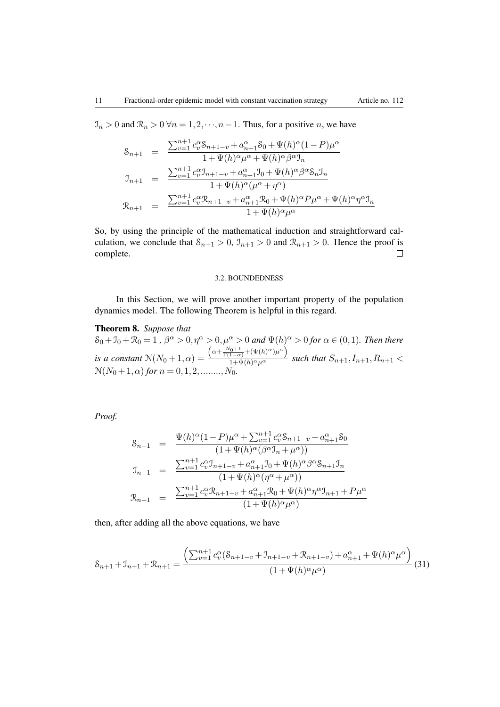$\mathcal{I}_n > 0$  and  $\mathcal{R}_n > 0 \ \forall n = 1, 2, \dots, n-1$ . Thus, for a positive *n*, we have

$$
\begin{array}{rcl} \mathbb{S}_{n+1} & = & \frac{\sum_{v=1}^{n+1} c_v^{\alpha} \mathbb{S}_{n+1-v} + a_{n+1}^{\alpha} \mathbb{S}_0 + \Psi(h)^{\alpha} (1-P) \mu^{\alpha}}{1 + \Psi(h)^{\alpha} \mu^{\alpha} + \Psi(h)^{\alpha} \beta^{\alpha} \mathbb{J}_n} \\ \mathbb{J}_{n+1} & = & \frac{\sum_{v=1}^{n+1} c_v^{\alpha} \mathbb{J}_{n+1-v} + a_{n+1}^{\alpha} \mathbb{J}_0 + \Psi(h)^{\alpha} \beta^{\alpha} \mathbb{S}_n \mathbb{J}_n}{1 + \Psi(h)^{\alpha} (\mu^{\alpha} + \eta^{\alpha})} \\ \mathbb{R}_{n+1} & = & \frac{\sum_{v=1}^{n+1} c_v^{\alpha} \mathbb{R}_{n+1-v} + a_{n+1}^{\alpha} \mathbb{R}_0 + \Psi(h)^{\alpha} P \mu^{\alpha} + \Psi(h)^{\alpha} \eta^{\alpha} \mathbb{J}_n}{1 + \Psi(h)^{\alpha} \mu^{\alpha}} \end{array}
$$

So, by using the principle of the mathematical induction and straightforward calculation, we conclude that  $S_{n+1} > 0$ ,  $\mathcal{I}_{n+1} > 0$  and  $\mathcal{R}_{n+1} > 0$ . Hence the proof is complete.  $\Box$ 

#### 3.2. BOUNDEDNESS

In this Section, we will prove another important property of the population dynamics model. The following Theorem is helpful in this regard.

## Theorem 8. *Suppose that*

 $S_0 + J_0 + \mathcal{R}_0 = 1$ ,  $\beta^{\alpha} > 0, \eta^{\alpha} > 0, \mu^{\alpha} > 0$  and  $\Psi(h)_{\alpha} > 0$  for  $\alpha \in (0,1)$ *. Then there is a constant*  $N(N_0+1,\alpha) =$  $\left(\alpha+\frac{N_0+1}{\Gamma(1-\alpha)}+(\Psi(h)^\alpha)\mu^\alpha\right)$  $\frac{1-\alpha}{1+\Psi(h)^{\alpha}\mu^{\alpha}}$  *such that*  $S_{n+1}, I_{n+1}, R_{n+1}$  $N(N_0+1,\alpha)$  for  $n=0,1,2,......,N_0$ .

*Proof.*

$$
\begin{array}{rcl}\n\mathbf{S}_{n+1} & = & \frac{\Psi(h)^{\alpha}(1-P)\mu^{\alpha} + \sum_{v=1}^{n+1} c_v^{\alpha} \mathbf{S}_{n+1-v} + a_{n+1}^{\alpha} \mathbf{S}_0}{(1+\Psi(h)^{\alpha}(\beta^{\alpha}\mathbf{J}_n + \mu^{\alpha}))} \\
\mathbf{J}_{n+1} & = & \frac{\sum_{v=1}^{n+1} c_v^{\alpha} \mathbf{J}_{n+1-v} + a_{n+1}^{\alpha} \mathbf{J}_0 + \Psi(h)^{\alpha} \beta^{\alpha} \mathbf{S}_{n+1} \mathbf{J}_n}{(1+\Psi(h)^{\alpha}(\eta^{\alpha} + \mu^{\alpha}))} \\
\mathbf{R}_{n+1} & = & \frac{\sum_{v=1}^{n+1} c_v^{\alpha} \mathbf{R}_{n+1-v} + a_{n+1}^{\alpha} \mathbf{R}_0 + \Psi(h)^{\alpha} \eta^{\alpha} \mathbf{J}_{n+1} + P \mu^{\alpha}}{(1+\Psi(h)^{\alpha} \mu^{\alpha})}\n\end{array}
$$

then, after adding all the above equations, we have

$$
S_{n+1} + \mathcal{I}_{n+1} + \mathcal{R}_{n+1} = \frac{\left(\sum_{v=1}^{n+1} c_v^{\alpha} (\mathcal{S}_{n+1-v} + \mathcal{I}_{n+1-v} + \mathcal{R}_{n+1-v}) + a_{n+1}^{\alpha} + \Psi(h)^{\alpha} \mu^{\alpha}\right)}{(1 + \Psi(h)^{\alpha} \mu^{\alpha})} (31)
$$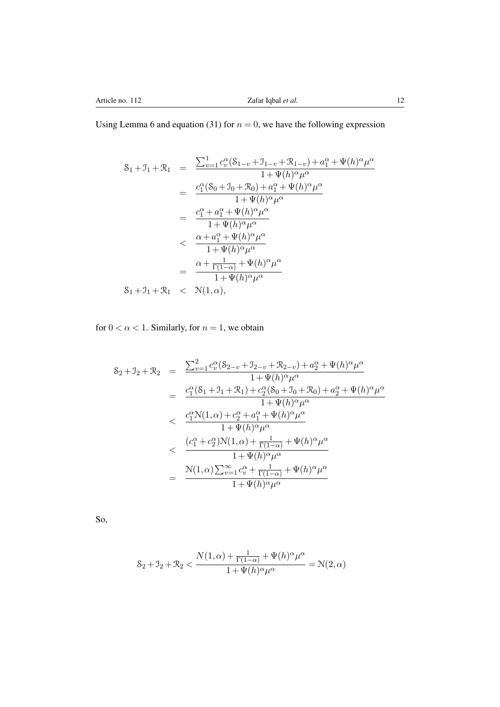Using Lemma 6 and equation (31) for  $n = 0$ , we have the following expression

$$
S_1 + J_1 + \mathcal{R}_1 = \frac{\sum_{v=1}^1 c_v^{\alpha} (S_{1-v} + J_{1-v} + \mathcal{R}_{1-v}) + a_1^{\alpha} + \Psi(h)^{\alpha} \mu^{\alpha}}{1 + \Psi(h)^{\alpha} \mu^{\alpha}}
$$
  
\n
$$
= \frac{c_1^{\alpha} (S_0 + J_0 + \mathcal{R}_0) + a_1^{\alpha} + \Psi(h)^{\alpha} \mu^{\alpha}}{1 + \Psi(h)^{\alpha} \mu^{\alpha}}
$$
  
\n
$$
= \frac{c_1^{\alpha} + a_1^{\alpha} + \Psi(h)^{\alpha} \mu^{\alpha}}{1 + \Psi(h)^{\alpha} \mu^{\alpha}}
$$
  
\n
$$
< \frac{\alpha + a_1^{\alpha} + \Psi(h)^{\alpha} \mu^{\alpha}}{1 + \Psi(h)^{\alpha} \mu^{\alpha}}
$$
  
\n
$$
= \frac{\alpha + \frac{1}{\Gamma(1-\alpha)} + \Psi(h)^{\alpha} \mu^{\alpha}}{1 + \Psi(h)^{\alpha} \mu^{\alpha}}
$$
  
\n
$$
S_1 + J_1 + \mathcal{R}_1 < \mathcal{N}(1, \alpha),
$$

for  $0 < \alpha < 1$ . Similarly, for  $n = 1$ , we obtain

$$
S_2 + J_2 + \mathcal{R}_2 = \frac{\sum_{v=1}^2 c_v^{\alpha} (S_{2-v} + J_{2-v} + \mathcal{R}_{2-v}) + a_2^{\alpha} + \Psi(h)^{\alpha} \mu^{\alpha}}{1 + \Psi(h)^{\alpha} \mu^{\alpha}}
$$
  
\n
$$
= \frac{c_1^{\alpha} (S_1 + J_1 + \mathcal{R}_1) + c_2^{\alpha} (S_0 + J_0 + \mathcal{R}_0) + a_2^{\alpha} + \Psi(h)^{\alpha} \mu^{\alpha}}{1 + \Psi(h)^{\alpha} \mu^{\alpha}}
$$
  
\n
$$
< \frac{c_1^{\alpha} \mathcal{N}(1, \alpha) + c_2^{\alpha} + a_1^{\alpha} + \Psi(h)^{\alpha} \mu^{\alpha}}{1 + \Psi(h)^{\alpha} \mu^{\alpha}}
$$
  
\n
$$
< \frac{(c_1^{\alpha} + c_2^{\alpha}) \mathcal{N}(1, \alpha) + \frac{1}{\Gamma(1-\alpha)} + \Psi(h)^{\alpha} \mu^{\alpha}}{1 + \Psi(h)^{\alpha} \mu^{\alpha}}
$$
  
\n
$$
= \frac{\mathcal{N}(1, \alpha) \sum_{v=1}^{\infty} c_v^{\alpha} + \frac{1}{\Gamma(1-\alpha)} + \Psi(h)^{\alpha} \mu^{\alpha}}{1 + \Psi(h)^{\alpha} \mu^{\alpha}}
$$

So,

$$
\mathcal{S}_2 + \mathcal{I}_2 + \mathcal{R}_2 < \frac{N(1, \alpha) + \frac{1}{\Gamma(1-\alpha)} + \Psi(h)^{\alpha} \mu^{\alpha}}{1 + \Psi(h)^{\alpha} \mu^{\alpha}} = \mathcal{N}(2, \alpha)
$$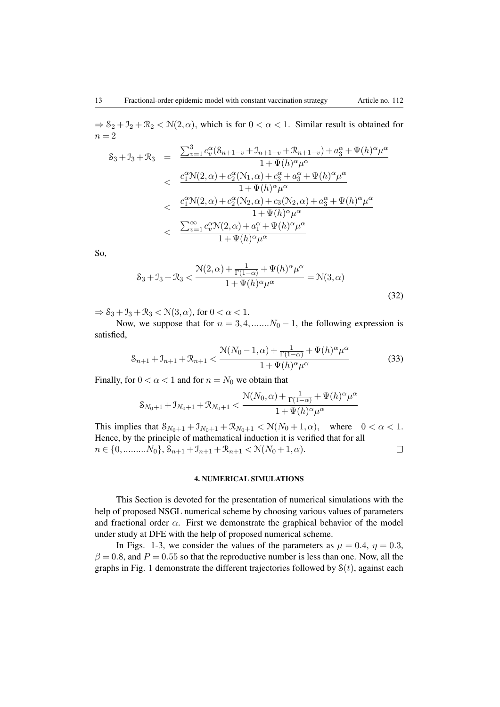$\Rightarrow$   $S_2 + J_2 + R_2 < N(2, \alpha)$ , which is for  $0 < \alpha < 1$ . Similar result is obtained for  $n = 2$ 

$$
S_3 + J_3 + \mathcal{R}_3 = \frac{\sum_{v=1}^3 c_v^{\alpha} (S_{n+1-v} + J_{n+1-v} + \mathcal{R}_{n+1-v}) + a_3^{\alpha} + \Psi(h)^{\alpha} \mu^{\alpha}}{1 + \Psi(h)^{\alpha} \mu^{\alpha}} < \frac{c_1^{\alpha} \mathcal{N}(2, \alpha) + c_2^{\alpha} (\mathcal{N}_1, \alpha) + c_3^{\alpha} + a_3^{\alpha} + \Psi(h)^{\alpha} \mu^{\alpha}}{1 + \Psi(h)^{\alpha} \mu^{\alpha}} < \frac{c_1^{\alpha} \mathcal{N}(2, \alpha) + c_2^{\alpha} (\mathcal{N}_2, \alpha) + c_3(\mathcal{N}_2, \alpha) + a_3^{\alpha} + \Psi(h)^{\alpha} \mu^{\alpha}}{1 + \Psi(h)^{\alpha} \mu^{\alpha}} < \frac{\sum_{v=1}^{\infty} c_v^{\alpha} \mathcal{N}(2, \alpha) + a_1^{\alpha} + \Psi(h)^{\alpha} \mu^{\alpha}}{1 + \Psi(h)^{\alpha} \mu^{\alpha}}
$$

So,

$$
\mathcal{S}_3 + \mathcal{I}_3 + \mathcal{R}_3 < \frac{\mathcal{N}(2,\alpha) + \frac{1}{\Gamma(1-\alpha)} + \Psi(h)^{\alpha} \mu^{\alpha}}{1 + \Psi(h)^{\alpha} \mu^{\alpha}} = \mathcal{N}(3,\alpha) \tag{32}
$$

 $\Rightarrow$   $S_3 + J_3 + R_3 < N(3, \alpha)$ , for  $0 < \alpha < 1$ .

Now, we suppose that for  $n = 3, 4, \dots, N_0 - 1$ , the following expression is satisfied,

$$
S_{n+1} + \mathcal{I}_{n+1} + \mathcal{R}_{n+1} < \frac{\mathcal{N}(N_0 - 1, \alpha) + \frac{1}{\Gamma(1 - \alpha)} + \Psi(h)^{\alpha} \mu^{\alpha}}{1 + \Psi(h)^{\alpha} \mu^{\alpha}} \tag{33}
$$

Finally, for  $0 < \alpha < 1$  and for  $n = N_0$  we obtain that

$$
\mathcal{S}_{N_0+1} + \mathcal{I}_{N_0+1} + \mathcal{R}_{N_0+1} < \frac{\mathcal{N}(N_0,\alpha) + \frac{1}{\Gamma(1-\alpha)} + \Psi(h)^{\alpha}\mu^{\alpha}}{1 + \Psi(h)^{\alpha}\mu^{\alpha}}
$$

This implies that  $S_{N_0+1} + J_{N_0+1} + R_{N_0+1} < N(N_0+1,\alpha)$ , where  $0 < \alpha < 1$ . Hence, by the principle of mathematical induction it is verified that for all  $n \in \{0, \ldots, N_0\}, \mathcal{S}_{n+1} + \mathcal{I}_{n+1} + \mathcal{R}_{n+1} < \mathcal{N}(N_0 + 1, \alpha).$  $\Box$ 

#### 4. NUMERICAL SIMULATIONS

This Section is devoted for the presentation of numerical simulations with the help of proposed NSGL numerical scheme by choosing various values of parameters and fractional order  $\alpha$ . First we demonstrate the graphical behavior of the model under study at DFE with the help of proposed numerical scheme.

In Figs. 1-3, we consider the values of the parameters as  $\mu = 0.4$ ,  $\eta = 0.3$ ,  $\beta = 0.8$ , and  $P = 0.55$  so that the reproductive number is less than one. Now, all the graphs in Fig. 1 demonstrate the different trajectories followed by  $S(t)$ , against each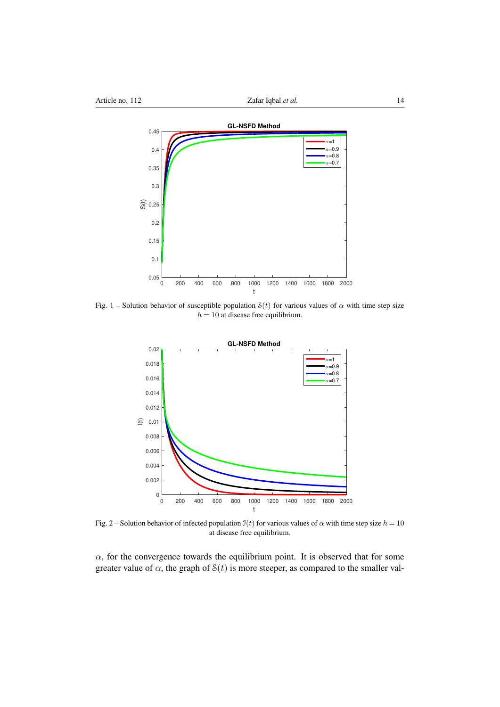

Fig. 1 – Solution behavior of susceptible population  $S(t)$  for various values of  $\alpha$  with time step size  $h = 10$  at disease free equilibrium.

t



Fig. 2 – Solution behavior of infected population  $\mathfrak{I}(t)$  for various values of  $\alpha$  with time step size  $h = 10$ at disease free equilibrium.

 $\alpha$ , for the convergence towards the equilibrium point. It is observed that for some greater value of  $\alpha$ , the graph of  $S(t)$  is more steeper, as compared to the smaller val-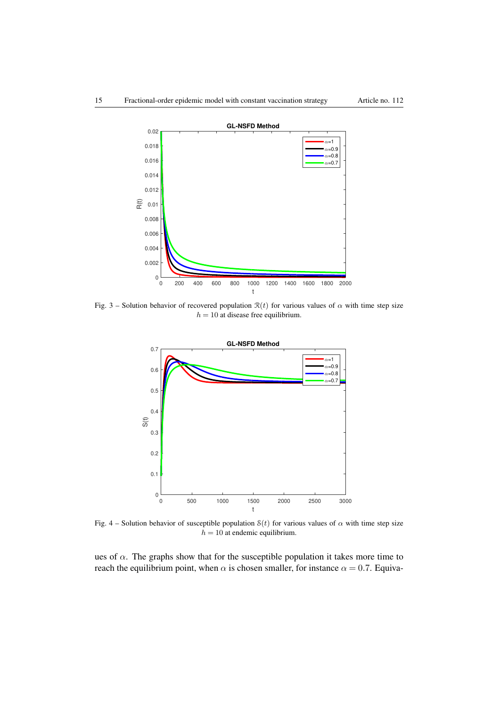

Fig. 3 – Solution behavior of recovered population  $\mathcal{R}(t)$  for various values of  $\alpha$  with time step size  $h = 10$  at disease free equilibrium.



Fig. 4 – Solution behavior of susceptible population  $S(t)$  for various values of  $\alpha$  with time step size  $h = 10$  at endemic equilibrium.

ues of  $\alpha$ . The graphs show that for the susceptible population it takes more time to reach the equilibrium point, when  $\alpha$  is chosen smaller, for instance  $\alpha = 0.7$ . Equiva-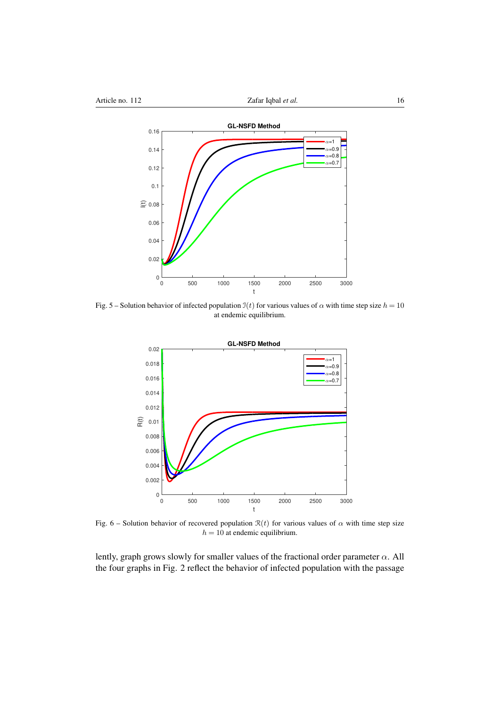

Fig. 5 – Solution behavior of infected population  $\mathfrak{I}(t)$  for various values of  $\alpha$  with time step size  $h = 10$ at endemic equilibrium.



Fig. 6 – Solution behavior of recovered population  $\mathcal{R}(t)$  for various values of  $\alpha$  with time step size  $h = 10$  at endemic equilibrium.

lently, graph grows slowly for smaller values of the fractional order parameter  $\alpha$ . All the four graphs in Fig. 2 reflect the behavior of infected population with the passage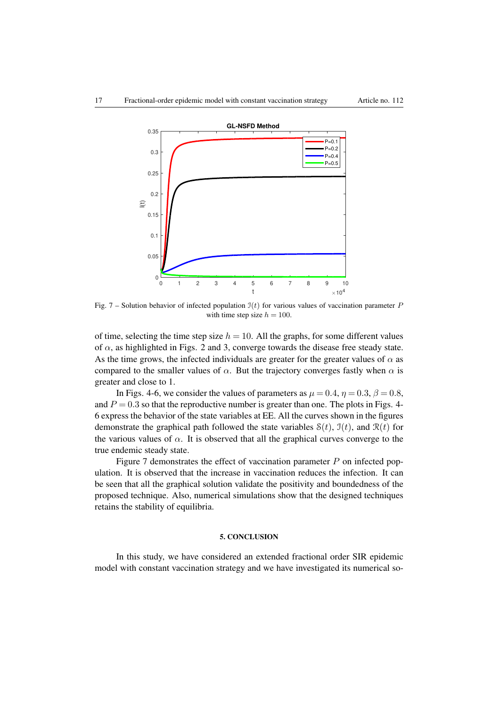

Fig. 7 – Solution behavior of infected population I(*t*) for various values of vaccination parameter *P* with time step size  $h = 100$ .

of time, selecting the time step size  $h = 10$ . All the graphs, for some different values of  $\alpha$ , as highlighted in Figs. 2 and 3, converge towards the disease free steady state. As the time grows, the infected individuals are greater for the greater values of  $\alpha$  as compared to the smaller values of  $\alpha$ . But the trajectory converges fastly when  $\alpha$  is greater and close to 1.

In Figs. 4-6, we consider the values of parameters as  $\mu = 0.4$ ,  $\eta = 0.3$ ,  $\beta = 0.8$ , and  $P = 0.3$  so that the reproductive number is greater than one. The plots in Figs. 4-6 express the behavior of the state variables at EE. All the curves shown in the figures demonstrate the graphical path followed the state variables  $S(t)$ ,  $J(t)$ , and  $\mathcal{R}(t)$  for the various values of  $\alpha$ . It is observed that all the graphical curves converge to the true endemic steady state.

Figure 7 demonstrates the effect of vaccination parameter *P* on infected population. It is observed that the increase in vaccination reduces the infection. It can be seen that all the graphical solution validate the positivity and boundedness of the proposed technique. Also, numerical simulations show that the designed techniques retains the stability of equilibria.

#### 5. CONCLUSION

In this study, we have considered an extended fractional order SIR epidemic model with constant vaccination strategy and we have investigated its numerical so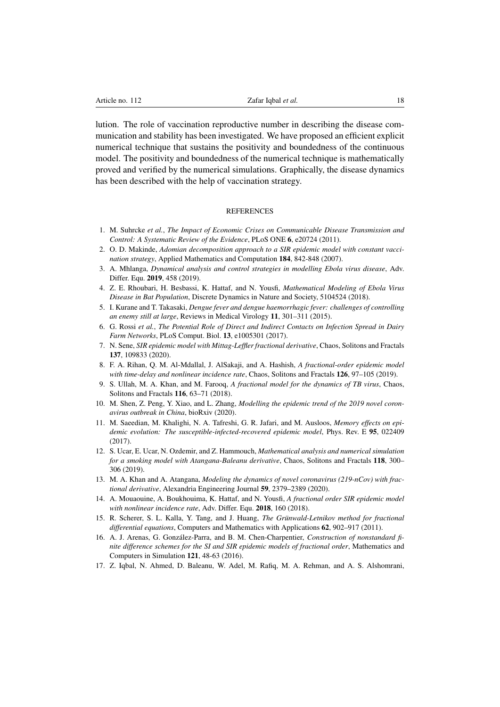lution. The role of vaccination reproductive number in describing the disease communication and stability has been investigated. We have proposed an efficient explicit numerical technique that sustains the positivity and boundedness of the continuous model. The positivity and boundedness of the numerical technique is mathematically proved and verified by the numerical simulations. Graphically, the disease dynamics has been described with the help of vaccination strategy.

#### **REFERENCES**

- 1. M. Suhrcke *et al.*, *The Impact of Economic Crises on Communicable Disease Transmission and Control: A Systematic Review of the Evidence*, PLoS ONE 6, e20724 (2011).
- 2. O. D. Makinde, *Adomian decomposition approach to a SIR epidemic model with constant vaccination strategy*, Applied Mathematics and Computation 184, 842-848 (2007).
- 3. A. Mhlanga, *Dynamical analysis and control strategies in modelling Ebola virus disease*, Adv. Differ. Equ. 2019, 458 (2019).
- 4. Z. E. Rhoubari, H. Besbassi, K. Hattaf, and N. Yousfi, *Mathematical Modeling of Ebola Virus Disease in Bat Population*, Discrete Dynamics in Nature and Society, 5104524 (2018).
- 5. I. Kurane and T. Takasaki, *Dengue fever and dengue haemorrhagic fever: challenges of controlling an enemy still at large*, Reviews in Medical Virology 11, 301–311 (2015).
- 6. G. Rossi *et al.*, *The Potential Role of Direct and Indirect Contacts on Infection Spread in Dairy Farm Networks*, PLoS Comput. Biol. 13, e1005301 (2017).
- 7. N. Sene, *SIR epidemic model with Mittag-Leffler fractional derivative*, Chaos, Solitons and Fractals 137, 109833 (2020).
- 8. F. A. Rihan, Q. M. Al-Mdallal, J. AlSakaji, and A. Hashish, *A fractional-order epidemic model with time-delay and nonlinear incidence rate*, Chaos, Solitons and Fractals 126, 97–105 (2019).
- 9. S. Ullah, M. A. Khan, and M. Farooq, *A fractional model for the dynamics of TB virus*, Chaos, Solitons and Fractals 116, 63–71 (2018).
- 10. M. Shen, Z. Peng, Y. Xiao, and L. Zhang, *Modelling the epidemic trend of the 2019 novel coronavirus outbreak in China*, bioRxiv (2020).
- 11. M. Saeedian, M. Khalighi, N. A. Tafreshi, G. R. Jafari, and M. Ausloos, *Memory effects on epidemic evolution: The susceptible-infected-recovered epidemic model*, Phys. Rev. E 95, 022409 (2017).
- 12. S. Ucar, E. Ucar, N. Ozdemir, and Z. Hammouch, *Mathematical analysis and numerical simulation for a smoking model with Atangana-Baleanu derivative*, Chaos, Solitons and Fractals 118, 300– 306 (2019).
- 13. M. A. Khan and A. Atangana, *Modeling the dynamics of novel coronavirus (219-nCov) with fractional derivative*, Alexandria Engineering Journal 59, 2379–2389 (2020).
- 14. A. Mouaouine, A. Boukhouima, K. Hattaf, and N. Yousfi, *A fractional order SIR epidemic model with nonlinear incidence rate*, Adv. Differ. Equ. 2018, 160 (2018).
- 15. R. Scherer, S. L. Kalla, Y. Tang, and J. Huang, *The Grunwald-Letnikov method for fractional ¨ differential equations*, Computers and Mathematics with Applications 62, 902–917 (2011).
- 16. A. J. Arenas, G. González-Parra, and B. M. Chen-Charpentier, *Construction of nonstandard finite difference schemes for the SI and SIR epidemic models of fractional order*, Mathematics and Computers in Simulation 121, 48-63 (2016).
- 17. Z. Iqbal, N. Ahmed, D. Baleanu, W. Adel, M. Rafiq, M. A. Rehman, and A. S. Alshomrani,